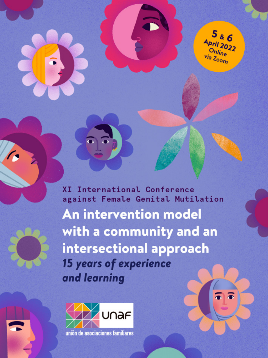

 $\bar{\bullet}$ 

**XI International Conference** against Female Genital Mutilation An intervention model with a community and an intersectional approach **15 years of experience** and learning

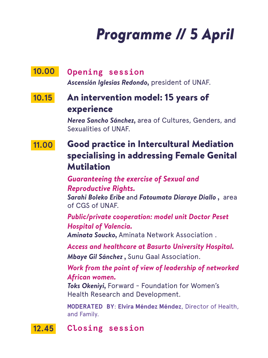# *Programme // 5 April*

#### **Opening session 10.00**

*Ascensión Iglesias Redondo,* president of UNAF.

### An intervention model: 15 years of experience  **10.15**

*Nerea Sancho Sánchez,* area of Cultures, Genders, and Sexualities of UNAF.

### Good practice in Intercultural Mediation specialising in addressing Female Genital Mutilation  **11.00**

*Guaranteeing the exercise of Sexual and Reproductive Rights.*

*Sarahi Boleko Eribe* and *Fatoumata Diaraye Diallo ,* area of CGS of UNAF.

*Public/private cooperation: model unit Doctor Peset Hospital of Valencia.*

*Aminata Soucko,* Aminata Network Association .

*Access and healthcare at Basurto University Hospital.*

*Mbaye Gil Sánchez ,* Sunu Gaal Association.

## *Work from the point of view of leadership of networked African women.*

*Toks Okeniyi,* Forward - Foundation for Women's Health Research and Development.

**MODERATED BY**: **Elvira Méndez Méndez**, Director of Health, and Family.

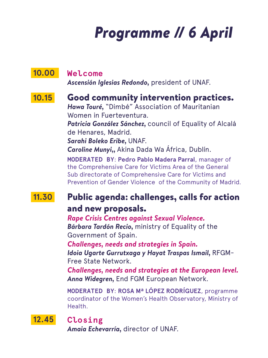# *Programme // 6 April*

#### **Welcome 10.00**

*Ascensión Iglesias Redondo,* president of UNAF.

#### Good community intervention practices.  **10.15**

*Hawa Touré,* "Dimbé" Association of Mauritanian Women in Fuerteventura.

*Patricia González Sánchez,* council of Equality of Alcalá de Henares, Madrid.

*Sarahi Boleko Eribe,* UNAF.

*Caroline Munyi,,* Akina Dada Wa África, Dublín.

**MODERATED BY**: **Pedro Pablo Madera Parral**, manager of the Comprehensive Care for Victims Area of the General Sub directorate of Comprehensive Care for Victims and Prevention of Gender Violence of the Community of Madrid.

### Public agenda: challenges, calls for action  **11.30**

## and new proposals.

*Rape Crisis Centres against Sexual Violence. Bárbara Tardón Recio,* ministry of Equality of the Government of Spain.

*Challenges, needs and strategies in Spain. Idoia Ugarte Gurrutxaga y Hayat Traspas Ismail,* RFGM-Free State Network.

*Challenges, needs and strategies at the European level. Anna Widegren,* End FGM European Network.

**MODERATED BY**: **ROSA Mª LÓPEZ RODRÍGUEZ**, programme coordinator of the Women's Health Observatory, Ministry of Health.

# **12.45**

**Closing**

*Amaia Echevarría,* director of UNAF.